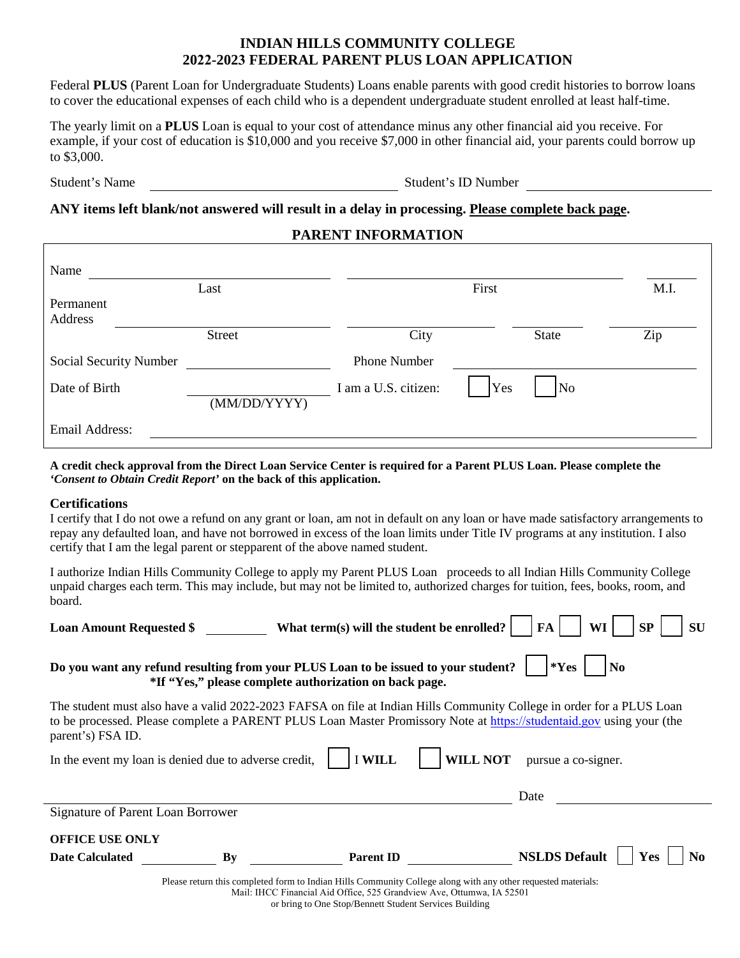# **INDIAN HILLS COMMUNITY COLLEGE 2022-2023 FEDERAL PARENT PLUS LOAN APPLICATION**

Federal **PLUS** (Parent Loan for Undergraduate Students) Loans enable parents with good credit histories to borrow loans to cover the educational expenses of each child who is a dependent undergraduate student enrolled at least half-time.

The yearly limit on a **PLUS** Loan is equal to your cost of attendance minus any other financial aid you receive. For example, if your cost of education is \$10,000 and you receive \$7,000 in other financial aid, your parents could borrow up to \$3,000.

Student's Name Student's ID Number

## **ANY items left blank/not answered will result in a delay in processing. Please complete back page.**

### **PARENT INFORMATION**

| Name                   |  | Last                |                      | First |                     | M.I. |
|------------------------|--|---------------------|----------------------|-------|---------------------|------|
| Permanent              |  |                     |                      |       |                     |      |
| Address                |  |                     |                      |       |                     |      |
|                        |  | Street              | City                 |       | State               | Zip  |
| Social Security Number |  | <b>Phone Number</b> |                      |       |                     |      |
| Date of Birth          |  |                     | I am a U.S. citizen: | Yes   | $\overline{\rm No}$ |      |
|                        |  | (MM/DD/YYYY)        |                      |       |                     |      |
| Email Address:         |  |                     |                      |       |                     |      |

**A credit check approval from the Direct Loan Service Center is required for a Parent PLUS Loan. Please complete the**  *'Consent to Obtain Credit Report'* **on the back of this application.** 

### **Certifications**

I certify that I do not owe a refund on any grant or loan, am not in default on any loan or have made satisfactory arrangements to repay any defaulted loan, and have not borrowed in excess of the loan limits under Title IV programs at any institution. I also certify that I am the legal parent or stepparent of the above named student.

I authorize Indian Hills Community College to apply my Parent PLUS Loan proceeds to all Indian Hills Community College unpaid charges each term. This may include, but may not be limited to, authorized charges for tuition, fees, books, room, and board.

| <b>Loan Amount Requested \$</b>                                                                                                                                                                                                                                    |    | What term(s) will the student be enrolled? | FA                   | SP<br>WI<br>SU |  |  |  |
|--------------------------------------------------------------------------------------------------------------------------------------------------------------------------------------------------------------------------------------------------------------------|----|--------------------------------------------|----------------------|----------------|--|--|--|
| $*Yes$<br>Do you want any refund resulting from your PLUS Loan to be issued to your student?<br>N <sub>0</sub><br>*If "Yes," please complete authorization on back page.                                                                                           |    |                                            |                      |                |  |  |  |
| The student must also have a valid 2022-2023 FAFSA on file at Indian Hills Community College in order for a PLUS Loan<br>to be processed. Please complete a PARENT PLUS Loan Master Promissory Note at https://studentaid.gov using your (the<br>parent's) FSA ID. |    |                                            |                      |                |  |  |  |
| <b>I WILL</b><br>In the event my loan is denied due to adverse credit,<br><b>WILL NOT</b><br>pursue a co-signer.                                                                                                                                                   |    |                                            |                      |                |  |  |  |
|                                                                                                                                                                                                                                                                    |    |                                            | Date                 |                |  |  |  |
| Signature of Parent Loan Borrower                                                                                                                                                                                                                                  |    |                                            |                      |                |  |  |  |
| <b>OFFICE USE ONLY</b>                                                                                                                                                                                                                                             |    |                                            |                      |                |  |  |  |
| <b>Date Calculated</b>                                                                                                                                                                                                                                             | Bv | <b>Parent ID</b>                           | <b>NSLDS Default</b> | Yes<br>No.     |  |  |  |
| Please return this completed form to Indian Hills Community College along with any other requested materials:<br>Mail: IHCC Financial Aid Office, 525 Grandview Ave, Ottumwa, IA 52501<br>or bring to One Stop/Bennett Student Services Building                   |    |                                            |                      |                |  |  |  |